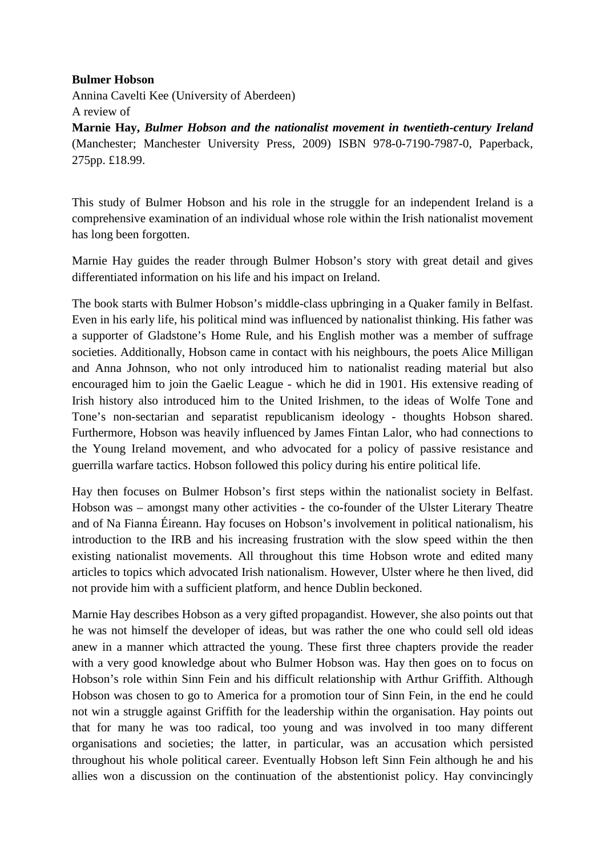## **Bulmer Hobson**

Annina Cavelti Kee (University of Aberdeen) A review of

**Marnie Hay,** *Bulmer Hobson and the nationalist movement in twentieth-century Ireland* (Manchester; Manchester University Press, 2009) ISBN 978-0-7190-7987-0, Paperback, 275pp. £18.99.

This study of Bulmer Hobson and his role in the struggle for an independent Ireland is a comprehensive examination of an individual whose role within the Irish nationalist movement has long been forgotten.

Marnie Hay guides the reader through Bulmer Hobson's story with great detail and gives differentiated information on his life and his impact on Ireland.

The book starts with Bulmer Hobson's middle-class upbringing in a Quaker family in Belfast. Even in his early life, his political mind was influenced by nationalist thinking. His father was a supporter of Gladstone's Home Rule, and his English mother was a member of suffrage societies. Additionally, Hobson came in contact with his neighbours, the poets Alice Milligan and Anna Johnson, who not only introduced him to nationalist reading material but also encouraged him to join the Gaelic League - which he did in 1901. His extensive reading of Irish history also introduced him to the United Irishmen, to the ideas of Wolfe Tone and Tone's non-sectarian and separatist republicanism ideology - thoughts Hobson shared. Furthermore, Hobson was heavily influenced by James Fintan Lalor, who had connections to the Young Ireland movement, and who advocated for a policy of passive resistance and guerrilla warfare tactics. Hobson followed this policy during his entire political life.

Hay then focuses on Bulmer Hobson's first steps within the nationalist society in Belfast. Hobson was – amongst many other activities - the co-founder of the Ulster Literary Theatre and of Na Fianna Éireann. Hay focuses on Hobson's involvement in political nationalism, his introduction to the IRB and his increasing frustration with the slow speed within the then existing nationalist movements. All throughout this time Hobson wrote and edited many articles to topics which advocated Irish nationalism. However, Ulster where he then lived, did not provide him with a sufficient platform, and hence Dublin beckoned.

Marnie Hay describes Hobson as a very gifted propagandist. However, she also points out that he was not himself the developer of ideas, but was rather the one who could sell old ideas anew in a manner which attracted the young. These first three chapters provide the reader with a very good knowledge about who Bulmer Hobson was. Hay then goes on to focus on Hobson's role within Sinn Fein and his difficult relationship with Arthur Griffith. Although Hobson was chosen to go to America for a promotion tour of Sinn Fein, in the end he could not win a struggle against Griffith for the leadership within the organisation. Hay points out that for many he was too radical, too young and was involved in too many different organisations and societies; the latter, in particular, was an accusation which persisted throughout his whole political career. Eventually Hobson left Sinn Fein although he and his allies won a discussion on the continuation of the abstentionist policy. Hay convincingly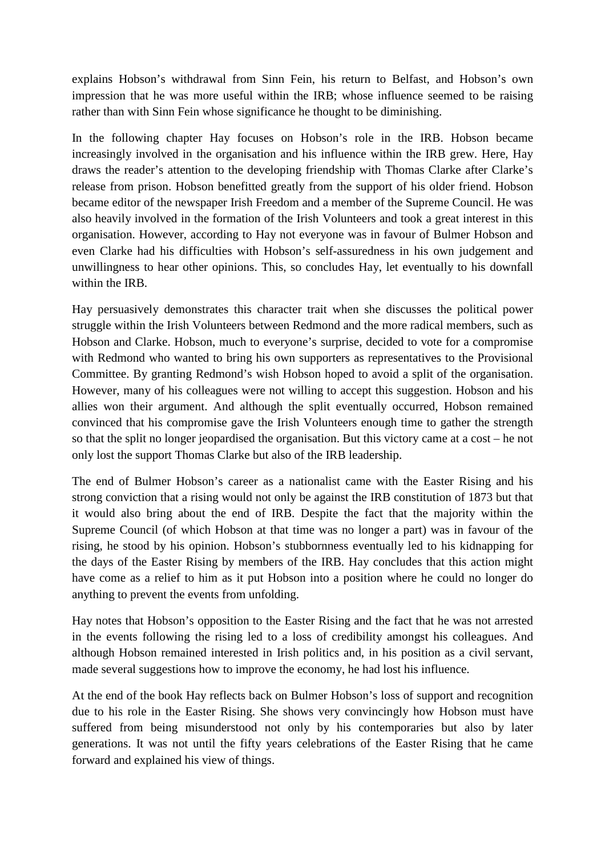explains Hobson's withdrawal from Sinn Fein, his return to Belfast, and Hobson's own impression that he was more useful within the IRB; whose influence seemed to be raising rather than with Sinn Fein whose significance he thought to be diminishing.

In the following chapter Hay focuses on Hobson's role in the IRB. Hobson became increasingly involved in the organisation and his influence within the IRB grew. Here, Hay draws the reader's attention to the developing friendship with Thomas Clarke after Clarke's release from prison. Hobson benefitted greatly from the support of his older friend. Hobson became editor of the newspaper Irish Freedom and a member of the Supreme Council. He was also heavily involved in the formation of the Irish Volunteers and took a great interest in this organisation. However, according to Hay not everyone was in favour of Bulmer Hobson and even Clarke had his difficulties with Hobson's self-assuredness in his own judgement and unwillingness to hear other opinions. This, so concludes Hay, let eventually to his downfall within the IRB.

Hay persuasively demonstrates this character trait when she discusses the political power struggle within the Irish Volunteers between Redmond and the more radical members, such as Hobson and Clarke. Hobson, much to everyone's surprise, decided to vote for a compromise with Redmond who wanted to bring his own supporters as representatives to the Provisional Committee. By granting Redmond's wish Hobson hoped to avoid a split of the organisation. However, many of his colleagues were not willing to accept this suggestion. Hobson and his allies won their argument. And although the split eventually occurred, Hobson remained convinced that his compromise gave the Irish Volunteers enough time to gather the strength so that the split no longer jeopardised the organisation. But this victory came at a cost – he not only lost the support Thomas Clarke but also of the IRB leadership.

The end of Bulmer Hobson's career as a nationalist came with the Easter Rising and his strong conviction that a rising would not only be against the IRB constitution of 1873 but that it would also bring about the end of IRB. Despite the fact that the majority within the Supreme Council (of which Hobson at that time was no longer a part) was in favour of the rising, he stood by his opinion. Hobson's stubbornness eventually led to his kidnapping for the days of the Easter Rising by members of the IRB. Hay concludes that this action might have come as a relief to him as it put Hobson into a position where he could no longer do anything to prevent the events from unfolding.

Hay notes that Hobson's opposition to the Easter Rising and the fact that he was not arrested in the events following the rising led to a loss of credibility amongst his colleagues. And although Hobson remained interested in Irish politics and, in his position as a civil servant, made several suggestions how to improve the economy, he had lost his influence.

At the end of the book Hay reflects back on Bulmer Hobson's loss of support and recognition due to his role in the Easter Rising. She shows very convincingly how Hobson must have suffered from being misunderstood not only by his contemporaries but also by later generations. It was not until the fifty years celebrations of the Easter Rising that he came forward and explained his view of things.